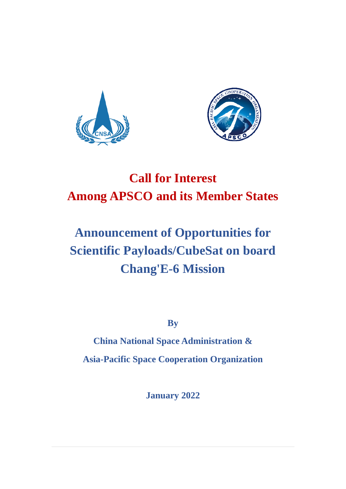



# **Call for Interest Among APSCO and its Member States**

# **Announcement of Opportunities for Scientific Payloads/CubeSat on board Chang'E-6 Mission**

**By**

**China National Space Administration & Asia-Pacific Space Cooperation Organization** 

**January 2022**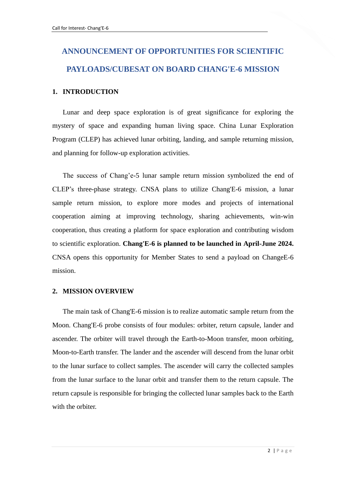# **ANNOUNCEMENT OF OPPORTUNITIES FOR SCIENTIFIC PAYLOADS/CUBESAT ON BOARD CHANG'E-6 MISSION**

#### **1. INTRODUCTION**

Lunar and deep space exploration is of great significance for exploring the mystery of space and expanding human living space. China Lunar Exploration Program (CLEP) has achieved lunar orbiting, landing, and sample returning mission, and planning for follow-up exploration activities.

The success of Chang'e-5 lunar sample return mission symbolized the end of CLEP's three-phase strategy. CNSA plans to utilize Chang'E-6 mission, a lunar sample return mission, to explore more modes and projects of international cooperation aiming at improving technology, sharing achievements, win-win cooperation, thus creating a platform for space exploration and contributing wisdom to scientific exploration. **Chang'E-6 is planned to be launched in April-June 2024.** CNSA opens this opportunity for Member States to send a payload on ChangeE-6 mission.

#### **2. MISSION OVERVIEW**

The main task of Chang'E-6 mission is to realize automatic sample return from the Moon. Chang'E-6 probe consists of four modules: orbiter, return capsule, lander and ascender. The orbiter will travel through the Earth-to-Moon transfer, moon orbiting, Moon-to-Earth transfer. The lander and the ascender will descend from the lunar orbit to the lunar surface to collect samples. The ascender will carry the collected samples from the lunar surface to the lunar orbit and transfer them to the return capsule. The return capsule is responsible for bringing the collected lunar samples back to the Earth with the orbiter.